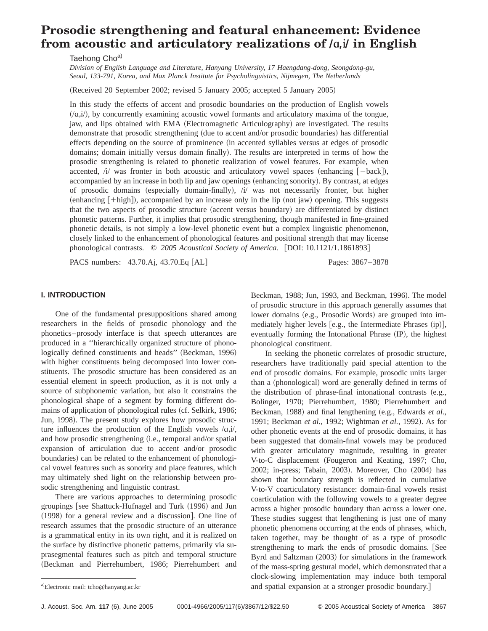# **Prosodic strengthening and featural enhancement: Evidence from acoustic and articulatory realizations of**  $\alpha, \beta$  **in English**

Taehong Choa)

*Division of English Language and Literature, Hanyang University, 17 Haengdang-dong, Seongdong-gu, Seoul, 133-791, Korea, and Max Planck Institute for Psycholinguistics, Nijmegen, The Netherlands*

(Received 20 September 2002; revised 5 January 2005; accepted 5 January 2005)

In this study the effects of accent and prosodic boundaries on the production of English vowels  $/$ ( $a$ , $i$ ), by concurrently examining acoustic vowel formants and articulatory maxima of the tongue, jaw, and lips obtained with EMA (Electromagnetic Articulography) are investigated. The results demonstrate that prosodic strengthening (due to accent and/or prosodic boundaries) has differential effects depending on the source of prominence (in accented syllables versus at edges of prosodic domains; domain initially versus domain finally). The results are interpreted in terms of how the prosodic strengthening is related to phonetic realization of vowel features. For example, when accented,  $/i'$  was fronter in both acoustic and articulatory vowel spaces (enhancing  $[-back]$ ), accompanied by an increase in both lip and jaw openings (enhancing sonority). By contrast, at edges of prosodic domains (especially domain-finally), /i/ was not necessarily fronter, but higher  $(\text{enhancing }[+{\text{high}}])$ , accompanied by an increase only in the lip  $(\text{not jaw})$  opening. This suggests that the two aspects of prosodic structure (accent versus boundary) are differentiated by distinct phonetic patterns. Further, it implies that prosodic strengthening, though manifested in fine-grained phonetic details, is not simply a low-level phonetic event but a complex linguistic phenomenon, closely linked to the enhancement of phonological features and positional strength that may license phonological contrasts. © 2005 Acoustical Society of America. [DOI: 10.1121/1.1861893]

PACS numbers: 43.70.Aj, 43.70.Eq [AL] Pages: 3867–3878

## **I. INTRODUCTION**

One of the fundamental presuppositions shared among researchers in the fields of prosodic phonology and the phonetics–prosody interface is that speech utterances are produced in a ''hierarchically organized structure of phonologically defined constituents and heads" (Beckman, 1996) with higher constituents being decomposed into lower constituents. The prosodic structure has been considered as an essential element in speech production, as it is not only a source of subphonemic variation, but also it constrains the phonological shape of a segment by forming different domains of application of phonological rules (cf. Selkirk, 1986; Jun, 1998). The present study explores how prosodic structure influences the production of the English vowels  $/a$ , $i$ , and how prosodic strengthening (i.e., temporal and/or spatial expansion of articulation due to accent and/or prosodic boundaries) can be related to the enhancement of phonological vowel features such as sonority and place features, which may ultimately shed light on the relationship between prosodic strengthening and linguistic contrast.

There are various approaches to determining prosodic groupings [see Shattuck-Hufnagel and Turk (1996) and Jun  $(1998)$  for a general review and a discussion]. One line of research assumes that the prosodic structure of an utterance is a grammatical entity in its own right, and it is realized on the surface by distinctive phonetic patterns, primarily via suprasegmental features such as pitch and temporal structure ~Beckman and Pierrehumbert, 1986; Pierrehumbert and

Beckman, 1988; Jun, 1993, and Beckman, 1996). The model of prosodic structure in this approach generally assumes that lower domains (e.g., Prosodic Words) are grouped into immediately higher levels [e.g., the Intermediate Phrases (ip)], eventually forming the Intonational Phrase  $(IP)$ , the highest phonological constituent.

In seeking the phonetic correlates of prosodic structure, researchers have traditionally paid special attention to the end of prosodic domains. For example, prosodic units larger than a (phonological) word are generally defined in terms of the distribution of phrase-final intonational contrasts  $(e.g.,)$ Bolinger, 1970; Pierrehumbert, 1980; Pierrehumbert and Beckman, 1988) and final lengthening (e.g., Edwards *et al.*, 1991; Beckman *et al.*, 1992; Wightman *et al.*, 1992). As for other phonetic events at the end of prosodic domains, it has been suggested that domain-final vowels may be produced with greater articulatory magnitude, resulting in greater V-to-C displacement (Fougeron and Keating, 1997; Cho, 2002; in-press; Tabain, 2003). Moreover, Cho (2004) has shown that boundary strength is reflected in cumulative V-to-V coarticulatory resistance: domain-final vowels resist coarticulation with the following vowels to a greater degree across a higher prosodic boundary than across a lower one. These studies suggest that lengthening is just one of many phonetic phenomena occurring at the ends of phrases, which, taken together, may be thought of as a type of prosodic strengthening to mark the ends of prosodic domains. [See Byrd and Saltzman (2003) for simulations in the framework of the mass-spring gestural model, which demonstrated that a clock-slowing implementation may induce both temporal and spatial expansion at a stronger prosodic boundary.]

Electronic mail: tcho@hanyang.ac.kr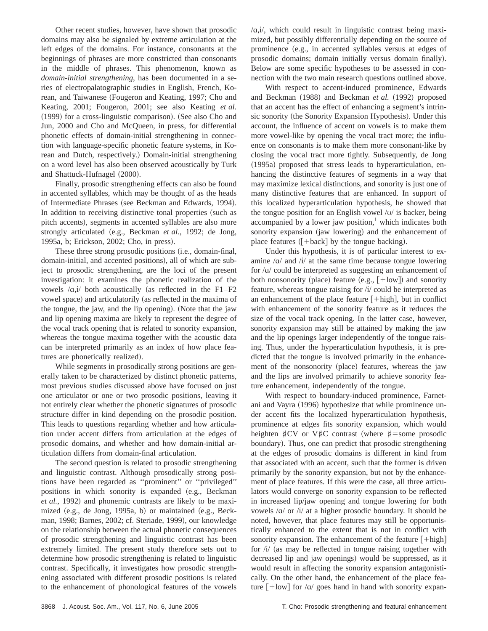Other recent studies, however, have shown that prosodic domains may also be signaled by extreme articulation at the left edges of the domains. For instance, consonants at the beginnings of phrases are more constricted than consonants in the middle of phrases. This phenomenon, known as *domain-initial strengthening*, has been documented in a series of electropalatographic studies in English, French, Korean, and Taiwanese (Fougeron and Keating, 1997; Cho and Keating, 2001; Fougeron, 2001; see also Keating *et al.*  $(1999)$  for a cross-linguistic comparison). (See also Cho and Jun, 2000 and Cho and McQueen, in press, for differential phonetic effects of domain-initial strengthening in connection with language-specific phonetic feature systems, in Korean and Dutch, respectively.) Domain-initial strengthening on a word level has also been observed acoustically by Turk and Shattuck-Hufnagel (2000).

Finally, prosodic strengthening effects can also be found in accented syllables, which may be thought of as the heads of Intermediate Phrases (see Beckman and Edwards, 1994). In addition to receiving distinctive tonal properties (such as pitch accents), segments in accented syllables are also more strongly articulated (e.g., Beckman et al., 1992; de Jong, 1995a, b; Erickson, 2002; Cho, in press).

These three strong prosodic positions (i.e., domain-final, domain-initial, and accented positions), all of which are subject to prosodic strengthening, are the loci of the present investigation: it examines the phonetic realization of the vowels  $/a$ , $i$  both acoustically (as reflected in the F1–F2 vowel space) and articulatorily (as reflected in the maxima of the tongue, the jaw, and the lip opening). (Note that the jaw and lip opening maxima are likely to represent the degree of the vocal track opening that is related to sonority expansion, whereas the tongue maxima together with the acoustic data can be interpreted primarily as an index of how place features are phonetically realized).

While segments in prosodically strong positions are generally taken to be characterized by distinct phonetic patterns, most previous studies discussed above have focused on just one articulator or one or two prosodic positions, leaving it not entirely clear whether the phonetic signatures of prosodic structure differ in kind depending on the prosodic position. This leads to questions regarding whether and how articulation under accent differs from articulation at the edges of prosodic domains, and whether and how domain-initial articulation differs from domain-final articulation.

The second question is related to prosodic strengthening and linguistic contrast. Although prosodically strong positions have been regarded as ''prominent'' or ''privileged'' positions in which sonority is expanded (e.g., Beckman *et al.*, 1992) and phonemic contrasts are likely to be maximized  $(e.g., de Jong, 1995a, b)$  or maintained  $(e.g., Beck$ man, 1998; Barnes, 2002; cf. Steriade, 1999), our knowledge on the relationship between the actual phonetic consequences of prosodic strengthening and linguistic contrast has been extremely limited. The present study therefore sets out to determine how prosodic strengthening is related to linguistic contrast. Specifically, it investigates how prosodic strengthening associated with different prosodic positions is related to the enhancement of phonological features of the vowels  $\alpha$ , i/, which could result in linguistic contrast being maximized, but possibly differentially depending on the source of prominence (e.g., in accented syllables versus at edges of prosodic domains; domain initially versus domain finally). Below are some specific hypotheses to be assessed in connection with the two main research questions outlined above.

With respect to accent-induced prominence, Edwards and Beckman (1988) and Beckman et al. (1992) proposed that an accent has the effect of enhancing a segment's intrinsic sonority (the Sonority Expansion Hypothesis). Under this account, the influence of accent on vowels is to make them more vowel-like by opening the vocal tract more; the influence on consonants is to make them more consonant-like by closing the vocal tract more tightly. Subsequently, de Jong (1995a) proposed that stress leads to hyperarticulation, enhancing the distinctive features of segments in a way that may maximize lexical distinctions, and sonority is just one of many distinctive features that are enhanced. In support of this localized hyperarticulation hypothesis, he showed that the tongue position for an English vowel  $\sqrt{v}$  is backer, being accompanied by a lower jaw position, $\frac{1}{1}$  which indicates both sonority expansion (jaw lowering) and the enhancement of place features  $($  + back  $]$  by the tongue backing).

Under this hypothesis, it is of particular interest to examine  $\alpha$  and  $\dot{\alpha}$  at the same time because tongue lowering for  $/a$  could be interpreted as suggesting an enhancement of both nonsonority (place) feature  $(e.g., [+low])$  and sonority feature, whereas tongue raising for  $\pi/$  could be interpreted as an enhancement of the place feature  $[+high]$ , but in conflict with enhancement of the sonority feature as it reduces the size of the vocal track opening. In the latter case, however, sonority expansion may still be attained by making the jaw and the lip openings larger independently of the tongue raising. Thus, under the hyperarticulation hypothesis, it is predicted that the tongue is involved primarily in the enhancement of the nonsonority (place) features, whereas the jaw and the lips are involved primarily to achieve sonority feature enhancement, independently of the tongue.

With respect to boundary-induced prominence, Farnetani and Vayra (1996) hypothesize that while prominence under accent fits the localized hyperarticulation hypothesis, prominence at edges fits sonority expansion, which would heighten  $\sharp$ CV or V $\sharp$ C contrast (where  $\sharp$ =some prosodic boundary). Thus, one can predict that prosodic strengthening at the edges of prosodic domains is different in kind from that associated with an accent, such that the former is driven primarily by the sonority expansion, but not by the enhancement of place features. If this were the case, all three articulators would converge on sonority expansion to be reflected in increased lip/jaw opening and tongue lowering for both vowels  $\alpha$  or  $\dot{\alpha}$  at a higher prosodic boundary. It should be noted, however, that place features may still be opportunistically enhanced to the extent that is not in conflict with sonority expansion. The enhancement of the feature  $[+high]$ for  $\pi$  / $i$  (as may be reflected in tongue raising together with decreased lip and jaw openings) would be suppressed, as it would result in affecting the sonority expansion antagonistically. On the other hand, the enhancement of the place feature  $[+low]$  for / $\alpha$ / goes hand in hand with sonority expan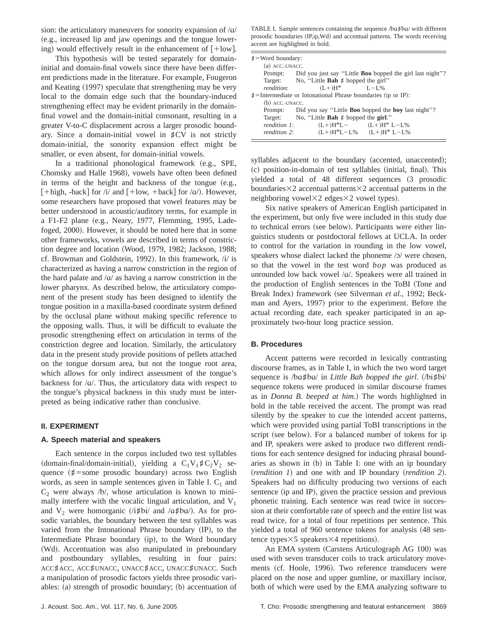sion: the articulatory maneuvers for sonority expansion of  $\alpha$ / (e.g., increased lip and jaw openings and the tongue lowering) would effectively result in the enhancement of  $[+low]$ .

This hypothesis will be tested separately for domaininitial and domain-final vowels since there have been different predictions made in the literature. For example, Fougeron and Keating (1997) speculate that strengthening may be very local to the domain edge such that the boundary-induced strengthening effect may be evident primarily in the domainfinal vowel and the domain-initial consonant, resulting in a greater V-to-C displacement across a larger prosodic boundary. Since a domain-initial vowel in  $\sharp CV$  is not strictly domain-initial, the sonority expansion effect might be smaller, or even absent, for domain-initial vowels.

In a traditional phonological framework (e.g., SPE, Chomsky and Halle 1968), vowels have often been defined in terms of the height and backness of the tongue  $(e.g.,)$ [+high, -back] for /i/ and  $[+low, +back]$  for / $\alpha$ /). However, some researchers have proposed that vowel features may be better understood in acoustic/auditory terms, for example in a F1-F2 plane  $(e.g.,$  Neary, 1977, Flemming, 1995, Ladefoged, 2000). However, it should be noted here that in some other frameworks, vowels are described in terms of constriction degree and location (Wood, 1979, 1982; Jackson, 1988; cf. Browman and Goldstein, 1992). In this framework,  $/i/$  is characterized as having a narrow constriction in the region of the hard palate and  $\alpha$  as having a narrow constriction in the lower pharynx. As described below, the articulatory component of the present study has been designed to identify the tongue position in a maxilla-based coordinate system defined by the occlusal plane without making specific reference to the opposing walls. Thus, it will be difficult to evaluate the prosodic strengthening effect on articulation in terms of the constriction degree and location. Similarly, the articulatory data in the present study provide positions of pellets attached on the tongue dorsum area, but not the tongue root area, which allows for only indirect assessment of the tongue's backness for  $\alpha$ . Thus, the articulatory data with respect to the tongue's physical backness in this study must be interpreted as being indicative rather than conclusive.

#### **II. EXPERIMENT**

#### **A. Speech material and speakers**

Each sentence in the corpus included two test syllables (domain-final/domain-initial), yielding a  $C_1V_1$ # $C_2V_2$  sequence ( $\sharp$ =some prosodic boundary) across two English words, as seen in sample sentences given in Table I.  $C_1$  and  $C_2$  were always /b/, whose articulation is known to minimally interfere with the vocalic lingual articulation, and  $V_1$ and  $V_2$  were homorganic ( $/i\sharp bi/$  and  $\langle a\sharp ba/$ ). As for prosodic variables, the boundary between the test syllables was varied from the Intonational Phrase boundary (IP), to the Intermediate Phrase boundary (ip), to the Word boundary (Wd). Accentuation was also manipulated in preboundary and postboundary syllables, resulting in four pairs: ACC*]*ACC, ACC*]*UNACC, UNACC*]*ACC, UNACC*]*UNACC. Such a manipulation of prosodic factors yields three prosodic variables:  $(a)$  strength of prosodic boundary;  $(b)$  accentuation of

TABLE I. Sample sentences containing the sequence /ba#ba/ with different prosodic boundaries (IP,ip, Wd) and accentual patterns. The words receiving accent are highlighted in bold.

| $\sharp$ = Word boundary:                                            |                                                                          |                               |  |  |  |  |
|----------------------------------------------------------------------|--------------------------------------------------------------------------|-------------------------------|--|--|--|--|
| (a) ACC.-UNACC.                                                      |                                                                          |                               |  |  |  |  |
|                                                                      | Prompt: Did you just say "Little <b>Boo</b> bopped the girl last night"? |                               |  |  |  |  |
|                                                                      | Target: No, "Little Bah # bopped the girl"                               |                               |  |  |  |  |
| rendition:                                                           | $(L+)H^*$ $L-L\%$                                                        |                               |  |  |  |  |
| $\sharp$ =Intermediate or Intonational Phrase boundaries (ip or IP): |                                                                          |                               |  |  |  |  |
| $(b)$ ACC.-UNACC.                                                    |                                                                          |                               |  |  |  |  |
|                                                                      | Prompt: Did you say "Little <b>Boo</b> bopped the boy last night"?       |                               |  |  |  |  |
|                                                                      | Target: No, "Little Bah # bopped the girl."                              |                               |  |  |  |  |
| rendition 1:                                                         |                                                                          | $(L+)H^*L (L+)H^*L-L\%$       |  |  |  |  |
| rendition 2:                                                         |                                                                          | $(L+)H^*L-L\%$ $(L+)H^*L-L\%$ |  |  |  |  |
|                                                                      |                                                                          |                               |  |  |  |  |

syllables adjacent to the boundary (accented, unaccented); (c) position-in-domain of test syllables (initial, final). This yielded a total of 48 different sequences (3 prosodic boundaries $\times$ 2 accentual patterns $\times$ 2 accentual patterns in the neighboring vowel $\times$ 2 edges $\times$ 2 vowel types).

Six native speakers of American English participated in the experiment, but only five were included in this study due to technical errors (see below). Participants were either linguistics students or postdoctoral fellows at UCLA. In order to control for the variation in rounding in the low vowel, speakers whose dialect lacked the phoneme  $\sqrt{2}$  were chosen, so that the vowel in the test word *bop* was produced as unrounded low back vowel /a/. Speakers were all trained in the production of English sentences in the ToBI (Tone and Break Index) framework (see Silverman *et al.*, 1992; Beckman and Ayers, 1997) prior to the experiment. Before the actual recording date, each speaker participated in an approximately two-hour long practice session.

#### **B. Procedures**

Accent patterns were recorded in lexically contrasting discourse frames, as in Table I, in which the two word target sequence is /ba#ba/ in *Little Bah bopped the girl.* (/bi#bi/ sequence tokens were produced in similar discourse frames as in *Donna B. beeped at him.*) The words highlighted in bold in the table received the accent. The prompt was read silently by the speaker to cue the intended accent patterns, which were provided using partial ToBI transcriptions in the script (see below). For a balanced number of tokens for ip and IP, speakers were asked to produce two different renditions for each sentence designed for inducing phrasal boundaries as shown in (b) in Table I: one with an ip boundary  $(rendition 1)$  and one with and IP boundary (*rendition 2*). Speakers had no difficulty producing two versions of each sentence (ip and IP), given the practice session and previous phonetic training. Each sentence was read twice in succession at their comfortable rate of speech and the entire list was read twice, for a total of four repetitions per sentence. This yielded a total of 960 sentence tokens for analysis (48 sentence types $\times$ 5 speakers $\times$ 4 repetitions).

An EMA system (Carstens Articulograph AG 100) was used with seven transducer coils to track articulatory movements (cf. Hoole, 1996). Two reference transducers were placed on the nose and upper gumline, or maxillary incisor, both of which were used by the EMA analyzing software to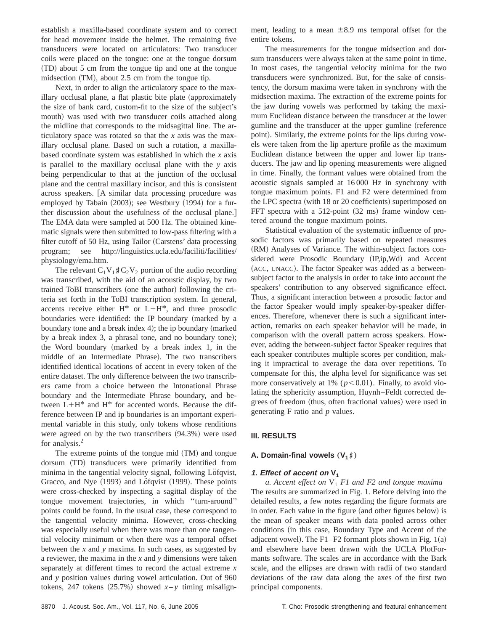establish a maxilla-based coordinate system and to correct for head movement inside the helmet. The remaining five transducers were located on articulators: Two transducer coils were placed on the tongue: one at the tongue dorsum ~TD! about 5 cm from the tongue tip and one at the tongue midsection  $(TM)$ , about 2.5 cm from the tongue tip.

Next, in order to align the articulatory space to the maxillary occlusal plane, a flat plastic bite plate (approximately the size of bank card, custom-fit to the size of the subject's mouth) was used with two transducer coils attached along the midline that corresponds to the midsagittal line. The articulatory space was rotated so that the *x* axis was the maxillary occlusal plane. Based on such a rotation, a maxillabased coordinate system was established in which the *x* axis is parallel to the maxillary occlusal plane with the *y* axis being perpendicular to that at the junction of the occlusal plane and the central maxillary incisor, and this is consistent across speakers. [A similar data processing procedure was employed by Tabain  $(2003)$ ; see Westbury  $(1994)$  for a further discussion about the usefulness of the occlusal plane. The EMA data were sampled at 500 Hz. The obtained kinematic signals were then submitted to low-pass filtering with a filter cutoff of 50 Hz, using Tailor (Carstens' data processing program; see http://linguistics.ucla.edu/faciliti/facilities/ physiology/ema.htm.

The relevant  $C_1V_1$ # $C_2V_2$  portion of the audio recording was transcribed, with the aid of an acoustic display, by two trained ToBI transcribers (one the author) following the criteria set forth in the ToBI transcription system. In general, accents receive either  $H^*$  or  $L+H^*$ , and three prosodic boundaries were identified: the IP boundary (marked by a boundary tone and a break index  $4$ ); the ip boundary (marked by a break index 3, a phrasal tone, and no boundary tone); the Word boundary (marked by a break index 1, in the middle of an Intermediate Phrase). The two transcribers identified identical locations of accent in every token of the entire dataset. The only difference between the two transcribers came from a choice between the Intonational Phrase boundary and the Intermediate Phrase boundary, and between  $L+H^*$  and  $H^*$  for accented words. Because the difference between IP and ip boundaries is an important experimental variable in this study, only tokens whose renditions were agreed on by the two transcribers  $(94.3%)$  were used for analysis.<sup>2</sup>

The extreme points of the tongue mid  $(TM)$  and tongue dorsum (TD) transducers were primarily identified from minima in the tangential velocity signal, following Löfqvist, Gracco, and Nye (1993) and Löfqvist (1999). These points were cross-checked by inspecting a sagittal display of the tongue movement trajectories, in which ''turn-around'' points could be found. In the usual case, these correspond to the tangential velocity minima. However, cross-checking was especially useful when there was more than one tangential velocity minimum or when there was a temporal offset between the *x* and *y* maxima. In such cases, as suggested by a reviewer, the maxima in the *x* and *y* dimensions were taken separately at different times to record the actual extreme *x* and *y* position values during vowel articulation. Out of 960 tokens, 247 tokens  $(25.7%)$  showed  $x - y$  timing misalignment, leading to a mean  $\pm 8.9$  ms temporal offset for the entire tokens.

The measurements for the tongue midsection and dorsum transducers were always taken at the same point in time. In most cases, the tangential velocity minima for the two transducers were synchronized. But, for the sake of consistency, the dorsum maxima were taken in synchrony with the midsection maxima. The extraction of the extreme points for the jaw during vowels was performed by taking the maximum Euclidean distance between the transducer at the lower gumline and the transducer at the upper gumline (reference point). Similarly, the extreme points for the lips during vowels were taken from the lip aperture profile as the maximum Euclidean distance between the upper and lower lip transducers. The jaw and lip opening measurements were aligned in time. Finally, the formant values were obtained from the acoustic signals sampled at 16 000 Hz in synchrony with tongue maximum points. F1 and F2 were determined from the LPC spectra (with 18 or 20 coefficients) superimposed on FFT spectra with a  $512$ -point  $(32 \text{ ms})$  frame window centered around the tongue maximum points.

Statistical evaluation of the systematic influence of prosodic factors was primarily based on repeated measures (RM) Analyses of Variance. The within-subject factors considered were Prosodic Boundary (IP,ip, Wd) and Accent (ACC, UNACC). The factor Speaker was added as a betweensubject factor to the analysis in order to take into account the speakers' contribution to any observed significance effect. Thus, a significant interaction between a prosodic factor and the factor Speaker would imply speaker-by-speaker differences. Therefore, whenever there is such a significant interaction, remarks on each speaker behavior will be made, in comparison with the overall pattern across speakers. However, adding the between-subject factor Speaker requires that each speaker contributes multiple scores per condition, making it impractical to average the data over repetitions. To compensate for this, the alpha level for significance was set more conservatively at 1%  $(p<0.01)$ . Finally, to avoid violating the sphericity assumption, Huynh–Feldt corrected degrees of freedom (thus, often fractional values) were used in generating F ratio and *p* values.

## **III. RESULTS**

## **A. Domain-final vowels**  $(V_1 \sharp)$

## **1.** Effect of accent on  $V_1$

*a. Accent effect on*  $V_1$  *F1 and F2 and tongue maxima* The results are summarized in Fig. 1. Before delving into the detailed results, a few notes regarding the figure formats are in order. Each value in the figure (and other figures below) is the mean of speaker means with data pooled across other conditions (in this case, Boundary Type and Accent of the adjacent vowel). The F1–F2 formant plots shown in Fig.  $1(a)$ and elsewhere have been drawn with the UCLA PlotFormants software. The scales are in accordance with the Bark scale, and the ellipses are drawn with radii of two standard deviations of the raw data along the axes of the first two principal components.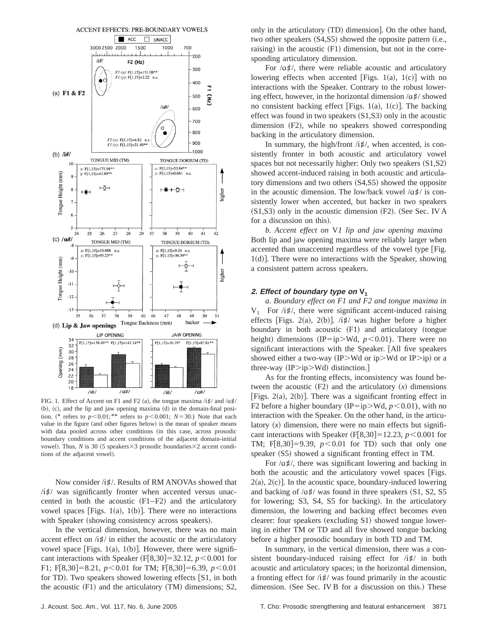

FIG. 1. Effect of Accent on F1 and F2 (a), the tongue maxima  $/i\sharp/$  and  $/\alpha\sharp/$  $(b)$ ,  $(c)$ , and the lip and jaw opening maxima  $(d)$  in the domain-final position. (\* refers to  $p<0.01$ ;\*\* refers to  $p<0.001$ ; *N*=30.) Note that each value in the figure (and other figures below) is the mean of speaker means with data pooled across other conditions (in this case, across prosodic boundary conditions and accent conditions of the adjacent domain-initial vowel). Thus, *N* is 30 (5 speakers $\times$ 3 prosodic boundaries $\times$ 2 accent conditions of the adjacent vowel).

Now consider /i#/. Results of RM ANOVAs showed that /i#/ was significantly fronter when accented versus unaccented in both the acoustic  $(F1-F2)$  and the articulatory vowel spaces [Figs. 1(a), 1(b)]. There were no interactions with Speaker (showing consistency across speakers).

In the vertical dimension, however, there was no main accent effect on  $/i\sharp/$  in either the acoustic or the articulatory vowel space [Figs. 1(a), 1(b)]. However, there were significant interactions with Speaker  $(F[8,30] = 32.12, p < 0.001$  for F1; F[8,30]=8.21,  $p < 0.01$  for TM; F[8,30]=6.39,  $p < 0.01$ for TD). Two speakers showed lowering effects  $[S1, in both]$ the acoustic  $(F1)$  and the articulatory  $(TM)$  dimensions; S2,

For  $\alpha \sharp l$ , there were reliable acoustic and articulatory lowering effects when accented [Figs. 1(a), 1(c)] with no interactions with the Speaker. Contrary to the robust lowering effect, however, in the horizontal dimension  $\alpha \sharp /$  showed no consistent backing effect [Figs. 1(a), 1(c)]. The backing effect was found in two speakers  $(S1,S3)$  only in the acoustic dimension  $(F2)$ , while no speakers showed corresponding backing in the articulatory dimension.

In summary, the high/front /i<sup> $\sharp$ </sup>/, when accented, is consistently fronter in both acoustic and articulatory vowel spaces but not necessarily higher: Only two speakers  $(S1,S2)$ showed accent-induced raising in both acoustic and articulatory dimensions and two others  $(S4, S5)$  showed the opposite in the acoustic dimension. The low/back vowel  $\alpha \sharp / \alpha$  is consistently lower when accented, but backer in two speakers  $(S1,S3)$  only in the acoustic dimension  $(F2)$ . (See Sec. IV A for a discussion on this).

*b. Accent effect on* V*1 lip and jaw opening maxima* Both lip and jaw opening maxima were reliably larger when accented than unaccented regardless of the vowel type [Fig.  $1(d)$ . There were no interactions with the Speaker, showing a consistent pattern across speakers.

#### **2. Effect** of boundary type on  $V_1$

*a. Boundary effect on F1 and F2 and tongue maxima in*  $V_1$  For /*i*#/, there were significant accent-induced raising effects [Figs. 2(a), 2(b)].  $\lambda$ **#**/ was higher before a higher boundary in both acoustic  $(F1)$  and articulatory (tongue height) dimensions (IP=ip>Wd,  $p$ <0.01). There were no significant interactions with the Speaker. [All five speakers showed either a two-way (IP>Wd or ip>Wd or IP>ip) or a three-way  $(IP>ip>Wd)$  distinction.

As for the fronting effects, inconsistency was found between the acoustic  $(F2)$  and the articulatory  $(x)$  dimensions  $|Figs. 2(a), 2(b)|$ . There was a significant fronting effect in F2 before a higher boundary (IP=ip>Wd,  $p$ <0.01), with no interaction with the Speaker. On the other hand, in the articulatory  $(x)$  dimension, there were no main effects but significant interactions with Speaker  $(F|8,30) = 12.23, p < 0.001$  for TM; F[8,30]=9.39,  $p < 0.01$  for TD) such that only one speaker  $(S5)$  showed a significant fronting effect in TM.

For  $\alpha \sharp/$ , there was significant lowering and backing in both the acoustic and the articulatory vowel spaces [Figs.  $2(a)$ ,  $2(c)$ ]. In the acoustic space, boundary-induced lowering and backing of  $\alpha$ <sup> $\sharp$ </sup>/ was found in three speakers (S1, S2, S5) for lowering; S3, S4, S5 for backing). In the articulatory dimension, the lowering and backing effect becomes even clearer: four speakers (excluding S1) showed tongue lowering in either TM or TD and all five showed tongue backing before a higher prosodic boundary in both TD and TM.

In summary, in the vertical dimension, there was a consistent boundary-induced raising effect for  $/i\sharp/$  in both acoustic and articulatory spaces; in the horizontal dimension, a fronting effect for  $\frac{1}{4}$  was found primarily in the acoustic dimension. (See Sec. IV B for a discussion on this.) These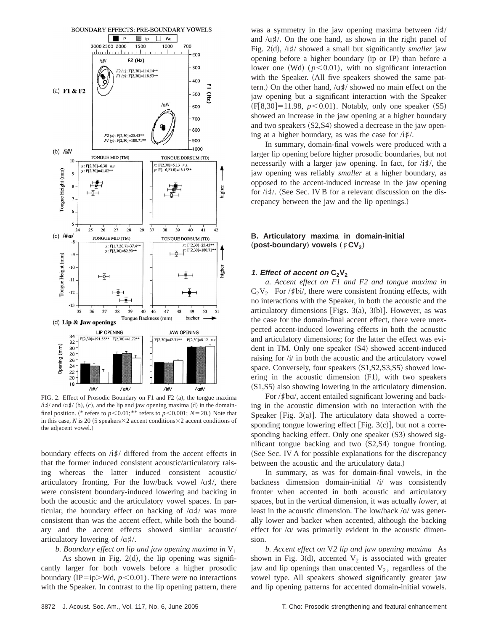

FIG. 2. Effect of Prosodic Boundary on F1 and F2  $(a)$ , the tongue maxima  $\langle$ i#/ and  $\langle$ a#/ (b), (c), and the lip and jaw opening maxima (d) in the domainfinal position. (\* refers to  $p<0.01$ ; \*\* refers to  $p<0.001$ ; *N*=20.) Note that in this case, *N* is 20 (5 speakers $\times$ 2 accent conditions $\times$ 2 accent conditions of the adjacent vowel.)

boundary effects on /i<sup> $\sharp$ </sup>/ differed from the accent effects in that the former induced consistent acoustic/articulatory raising whereas the latter induced consistent acoustic/ articulatory fronting. For the low/back vowel  $\alpha \sharp l$ , there were consistent boundary-induced lowering and backing in both the acoustic and the articulatory vowel spaces. In particular, the boundary effect on backing of  $\alpha \sharp / \alpha$  was more consistent than was the accent effect, while both the boundary and the accent effects showed similar acoustic/ articulatory lowering of  $\alpha \sharp \lambda$ .

*b. Boundary effect on lip and jaw opening maxima in* V1

As shown in Fig. 2 $(d)$ , the lip opening was significantly larger for both vowels before a higher prosodic boundary (IP=ip>Wd,  $p$ <0.01). There were no interactions with the Speaker. In contrast to the lip opening pattern, there was a symmetry in the jaw opening maxima between  $/i\sharp/$ and  $\alpha \sharp/$ . On the one hand, as shown in the right panel of Fig. 2(d), /i<sup> $\sharp$ </sup>/ showed a small but significantly *smaller* jaw opening before a higher boundary (ip or IP) than before a lower one (Wd)  $(p<0.01)$ , with no significant interaction with the Speaker. (All five speakers showed the same pattern.) On the other hand,  $\alpha \sharp / \alpha$  showed no main effect on the jaw opening but a significant interaction with the Speaker  $(F[8,30] = 11.98, p < 0.01)$ . Notably, only one speaker  $(S5)$ showed an increase in the jaw opening at a higher boundary and two speakers  $(S2,S4)$  showed a decrease in the jaw opening at a higher boundary, as was the case for  $/i\sharp\ell$ .

In summary, domain-final vowels were produced with a larger lip opening before higher prosodic boundaries, but not necessarily with a larger jaw opening. In fact, for /{*]*/, the jaw opening was reliably *smaller* at a higher boundary, as opposed to the accent-induced increase in the jaw opening for  $/i\sharp/$ . (See Sec. IV B for a relevant discussion on the discrepancy between the jaw and the lip openings.)

## **B. Articulatory maxima in domain-initial** (post-boundary) vowels  $({}^{\sharp}CV_2)$

#### **1.** Effect of accent on  $C_2V_2$

*a. Accent effect on F1 and F2 and tongue maxima in*  $C_2V_2$  For /*‡bi/*, there were consistent fronting effects, with no interactions with the Speaker, in both the acoustic and the articulatory dimensions [Figs. 3(a), 3(b)]. However, as was the case for the domain-final accent effect, there were unexpected accent-induced lowering effects in both the acoustic and articulatory dimensions; for the latter the effect was evident in TM. Only one speaker (S4) showed accent-induced raising for  $\pi$  in both the acoustic and the articulatory vowel space. Conversely, four speakers  $(S1, S2, S3, S5)$  showed lowering in the acoustic dimension  $(F1)$ , with two speakers  $(S1, S5)$  also showing lowering in the articulatory dimension.

For / $\sharp$ ba/, accent entailed significant lowering and backing in the acoustic dimension with no interaction with the Speaker [Fig. 3(a)]. The articulatory data showed a corresponding tongue lowering effect [Fig.  $3(c)$ ], but not a corresponding backing effect. Only one speaker  $(S3)$  showed significant tongue backing and two  $(S2,S4)$  tongue fronting. (See Sec. IV A for possible explanations for the discrepancy between the acoustic and the articulatory data.)

In summary, as was for domain-final vowels, in the backness dimension domain-initial /i/ was consistently fronter when accented in both acoustic and articulatory spaces, but in the vertical dimension, it was actually *lower*, at least in the acoustic dimension. The low/back  $\alpha$  was generally lower and backer when accented, although the backing effect for  $/\alpha$  was primarily evident in the acoustic dimension.

*b. Accent effect on* V*2 lip and jaw opening maxima* As shown in Fig. 3(d), accented  $V_2$  is associated with greater jaw and lip openings than unaccented  $V_2$ , regardless of the vowel type. All speakers showed significantly greater jaw and lip opening patterns for accented domain-initial vowels.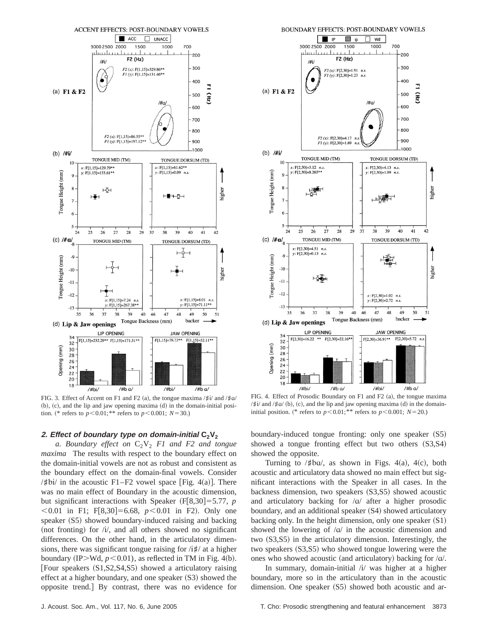

FIG. 3. Effect of Accent on F1 and F2 (a), the tongue maxima  $/\sharp i /$  and  $/\sharp \alpha$  $(b)$ ,  $(c)$ , and the lip and jaw opening maxima  $(d)$  in the domain-initial position. (\* refers to  $p < 0.01$ ; \*\* refers to  $p < 0.001$ ; *N* = 30.)

#### **2. Effect of boundary type on domain-initial C2V2**

*a. Boundary effect on*  $C_2V_2$  *F1 and F2 and tongue maxima* The results with respect to the boundary effect on the domain-initial vowels are not as robust and consistent as the boundary effect on the domain-final vowels. Consider / $\sharp$ bi/ in the acoustic F1–F2 vowel space [Fig. 4(a)]. There was no main effect of Boundary in the acoustic dimension, but significant interactions with Speaker  $(F[8,30] = 5.77, p$  $< 0.01$  in F1; F[8,30]=6.68,  $p < 0.01$  in F2). Only one speaker (S5) showed boundary-induced raising and backing (not fronting) for  $(i)$ , and all others showed no significant differences. On the other hand, in the articulatory dimensions, there was significant tongue raising for /{*]*/ at a higher boundary (IP>Wd,  $p$ <0.01), as reflected in TM in Fig. 4(b). [Four speakers  $(S1, S2, S4, S5)$  showed a articulatory raising effect at a higher boundary, and one speaker  $(S3)$  showed the opposite trend.] By contrast, there was no evidence for



FIG. 4. Effect of Prosodic Boundary on F1 and F2  $(a)$ , the tongue maxima  $/$ #i $/$  and  $/$ #a $/$  (b), (c), and the lip and jaw opening maxima (d) in the domaininitial position. (\* refers to  $p < 0.01$ ; \*\* refers to  $p < 0.001$ ; *N* = 20.)

boundary-induced tongue fronting: only one speaker (S5) showed a tongue fronting effect but two others  $(S3,S4)$ showed the opposite.

Turning to  $/\sharp$ ba $/$ , as shown in Figs. 4(a), 4(c), both acoustic and articulatory data showed no main effect but significant interactions with the Speaker in all cases. In the backness dimension, two speakers  $(S3, S5)$  showed acoustic and articulatory backing for  $\alpha$  after a higher prosodic boundary, and an additional speaker  $(S4)$  showed articulatory backing only. In the height dimension, only one speaker  $(S1)$ showed the lowering of  $\alpha$  in the acoustic dimension and two  $(S3, S5)$  in the articulatory dimension. Interestingly, the two speakers  $(S3, S5)$  who showed tongue lowering were the ones who showed acoustic (and articulatory) backing for  $/\alpha$ .

In summary, domain-initial  $\lambda$  was higher at a higher boundary, more so in the articulatory than in the acoustic dimension. One speaker  $(S5)$  showed both acoustic and ar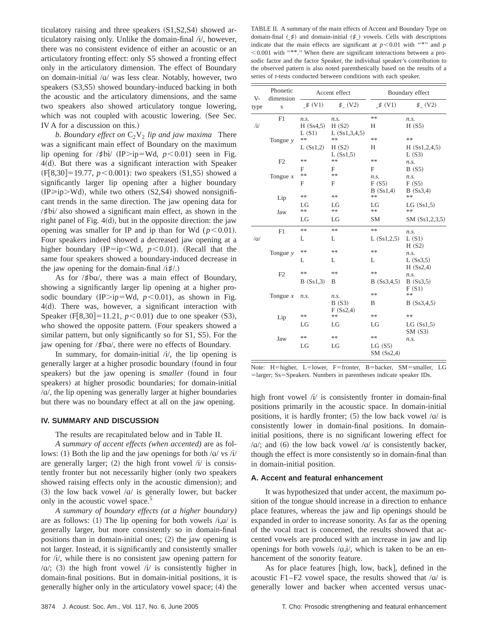ticulatory raising and three speakers  $(S1,S2,S4)$  showed articulatory raising only. Unlike the domain-final /i/, however, there was no consistent evidence of either an acoustic or an articulatory fronting effect: only S5 showed a fronting effect only in the articulatory dimension. The effect of Boundary on domain-initial  $\alpha$  was less clear. Notably, however, two speakers (S3,S5) showed boundary-induced backing in both the acoustic and the articulatory dimensions, and the same two speakers also showed articulatory tongue lowering, which was not coupled with acoustic lowering. (See Sec. IV A for a discussion on this.)

*b. Boundary effect on*  $C_2V_2$  *lip and jaw maxima* There was a significant main effect of Boundary on the maximum lip opening for / $\sharp$ bi/ (IP>ip=Wd, *p*<0.01) seen in Fig.  $4(d)$ . But there was a significant interaction with Speaker  $(F[8,30] = 19.77, p < 0.001)$ : two speakers  $(S1, S5)$  showed a significantly larger lip opening after a higher boundary  $(IP\geq i p>Wd)$ , while two others  $(S2,S4)$  showed nonsignificant trends in the same direction. The jaw opening data for /*]*"{/ also showed a significant main effect, as shown in the right panel of Fig.  $4(d)$ , but in the opposite direction: the jaw opening was smaller for IP and ip than for Wd  $(p<0.01)$ . Four speakers indeed showed a decreased jaw opening at a higher boundary (IP=ip<Wd,  $p$ <0.01). (Recall that the same four speakers showed a boundary-induced decrease in the jaw opening for the domain-final  $/i\sharp\Lambda$ .)

As for / $\sharp$ ba/, there was a main effect of Boundary, showing a significantly larger lip opening at a higher prosodic boundary (IP>ip=Wd,  $p$ <0.01), as shown in Fig.  $4(d)$ . There was, however, a significant interaction with Speaker  $(F[8,30] = 11.21, p < 0.01)$  due to one speaker  $(S3)$ , who showed the opposite pattern. (Four speakers showed a similar pattern, but only significantly so for S1, S5). For the jaw opening for /*#ba/*, there were no effects of Boundary.

In summary, for domain-initial  $(i)$ , the lip opening is generally larger at a higher prosodic boundary (found in four speakers) but the jaw opening is *smaller* (found in four speakers) at higher prosodic boundaries; for domain-initial  $/\alpha$ , the lip opening was generally larger at higher boundaries but there was no boundary effect at all on the jaw opening.

#### **IV. SUMMARY AND DISCUSSION**

The results are recapitulated below and in Table II.

*A summary of accent effects (when accented)* are as follows: (1) Both the lip and the jaw openings for both  $\alpha$  vs /i/ are generally larger;  $(2)$  the high front vowel  $\pi$  is consistently fronter but not necessarily higher (only two speakers showed raising effects only in the acoustic dimension); and  $(3)$  the low back vowel  $\alpha$  is generally lower, but backer only in the acoustic vowel space.<sup>5</sup>

*A summary of boundary effects (at a higher boundary)* are as follows: (1) The lip opening for both vowels  $/\mathrm{i}, \alpha/$  is generally larger, but more consistently so in domain-final positions than in domain-initial ones;  $(2)$  the jaw opening is not larger. Instead, it is significantly and consistently smaller for /i/, while there is no consistent jaw opening pattern for  $\alpha$ ; (3) the high front vowel /i/ is consistently higher in domain-final positions. But in domain-initial positions, it is generally higher only in the articulatory vowel space;  $(4)$  the

TABLE II. A summary of the main effects of Accent and Boundary Type on domain-final  $(\n\sharp)$  and domain-initial  $(\n\sharp)$  vowels. Cells with descriptions indicate that the main effects are significant at  $p < 0.01$  with "\*" and *p*  $< 0.001$  with "\*\*." When there are significant interactions between a prosodic factor and the factor Speaker, the individual speaker's contribution to the observed pattern is also noted parenthetically based on the results of a series of *t*-tests conducted between conditions with each speaker.

| V-             | Phonetic<br>dimension | Accent effect             |                                  | Boundary effect                |                                    |
|----------------|-----------------------|---------------------------|----------------------------------|--------------------------------|------------------------------------|
| type           | S                     | # (V1)                    | # (V2)                           | $\sharp$ (V1)                  | # (V2)                             |
| $\rm \ell \nu$ | F1                    | n.s.<br>H(Ss4,5)<br>L(S1) | n.s.<br>H(S2)<br>L $(Ss1,3,4,5)$ | **<br>Н                        | n.s.<br>H(S5)                      |
|                | Tongue $y$            | **<br>L(Ss1,2)            | **<br>H(S2)                      | **<br>Н                        | **<br>H(Ss1, 2, 4, 5)              |
|                | F2                    | **                        | L(Ss1,5)<br>**                   | **                             | L(S3)<br>n.s.                      |
|                | Tongue $x$            | F<br>**<br>F              | F<br>**<br>F                     | F<br>n.s.<br>F(S5)<br>B(Ss1,4) | B(S5)<br>n.s.<br>F(S5)<br>B(Ss3,4) |
|                | Lip                   | **<br>LG                  | **<br>LG                         | **<br>LG                       | **                                 |
|                | Jaw                   | **<br>LG                  | **<br>LG                         | **<br><b>SM</b>                | LG(Ss1,5)<br>**<br>SM (Ss1,2,3,5)  |
|                | F1                    | **                        | **                               | **                             | n.s.                               |
| $/\alpha$      |                       | L                         | L                                | L(Ss1,2,5)                     | L(S1)<br>H(S2)                     |
|                | Tongue $y$            | **<br>L                   | **<br>L                          | **<br>L                        | n.s.<br>L(Ss3,5)                   |
|                | F2                    | **<br>B(Ss1,3)            | **<br>B                          | **<br>B(Ss3,4,5)               | H(Ss2,4)<br>n.s.<br>B(Ss3,5)       |
|                | Tongue $x$            | n.s.                      | n.s.<br>B(S3)                    | **<br>B                        | F(S1)<br>**<br>B(Ss3,4,5)          |
|                | Lip                   | **                        | F(Ss2,4)<br>**                   | **                             | **                                 |
|                |                       | LG                        | LG                               | LG                             | LG(Ss1,5)<br>SM(S3)                |
|                | Jaw                   | **<br>LG                  | **<br>LG                         | **<br>LG(S5)<br>SM(Ss2,4)      | n.s.                               |

Note: H=higher, L=lower, F=fronter, B=backer, SM=smaller, LG =larger; Ss=Speakers. Numbers in parentheses indicate speaker IDs.

high front vowel  $\lambda$  is consistently fronter in domain-final positions primarily in the acoustic space. In domain-initial positions, it is hardly fronter; (5) the low back vowel  $/\alpha$  is consistently lower in domain-final positions. In domaininitial positions, there is no significant lowering effect for / $a$ /; and (6) the low back vowel / $a$ / is consistently backer, though the effect is more consistently so in domain-final than in domain-initial position.

#### **A. Accent and featural enhancement**

It was hypothesized that under accent, the maximum position of the tongue should increase in a direction to enhance place features, whereas the jaw and lip openings should be expanded in order to increase sonority. As far as the opening of the vocal tract is concerned, the results showed that accented vowels are produced with an increase in jaw and lip openings for both vowels  $\langle \alpha, i \rangle$ , which is taken to be an enhancement of the sonority feature.

As for place features [high, low, back], defined in the acoustic F1–F2 vowel space, the results showed that  $\alpha$  is generally lower and backer when accented versus unac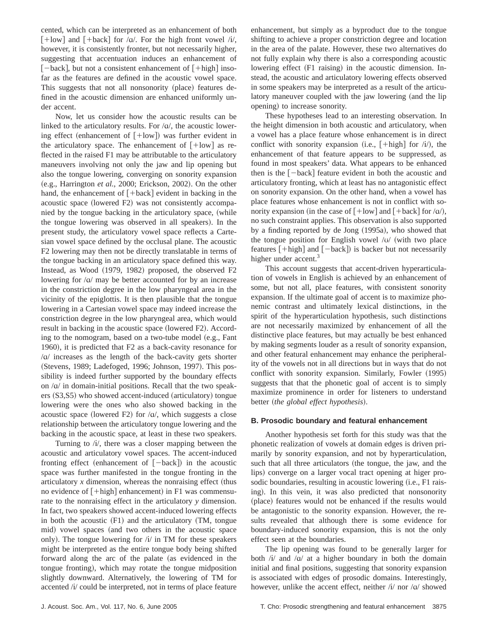cented, which can be interpreted as an enhancement of both  $\lceil + \text{low} \rceil$  and  $\lceil + \text{back} \rceil$  for / $\alpha$ /. For the high front vowel /i/, however, it is consistently fronter, but not necessarily higher, suggesting that accentuation induces an enhancement of  $[-back]$ , but not a consistent enhancement of  $[+high]$  insofar as the features are defined in the acoustic vowel space. This suggests that not all nonsonority (place) features defined in the acoustic dimension are enhanced uniformly under accent.

Now, let us consider how the acoustic results can be linked to the articulatory results. For  $\alpha/$ , the acoustic lowering effect (enhancement of  $[+{\rm low}]$ ) was further evident in the articulatory space. The enhancement of  $[+low]$  as reflected in the raised F1 may be attributable to the articulatory maneuvers involving not only the jaw and lip opening but also the tongue lowering, converging on sonority expansion (e.g., Harrington *et al.*, 2000; Erickson, 2002). On the other hand, the enhancement of  $[+back]$  evident in backing in the acoustic space (lowered F2) was not consistently accompanied by the tongue backing in the articulatory space, (while the tongue lowering was observed in all speakers). In the present study, the articulatory vowel space reflects a Cartesian vowel space defined by the occlusal plane. The acoustic F2 lowering may then not be directly translatable in terms of the tongue backing in an articulatory space defined this way. Instead, as Wood (1979, 1982) proposed, the observed F2 lowering for  $\alpha$  may be better accounted for by an increase in the constriction degree in the low pharyngeal area in the vicinity of the epiglottis. It is then plausible that the tongue lowering in a Cartesian vowel space may indeed increase the constriction degree in the low pharyngeal area, which would result in backing in the acoustic space (lowered F2). According to the nomogram, based on a two-tube model (e.g., Fant 1960), it is predicted that F2 as a back-cavity resonance for  $\alpha$  increases as the length of the back-cavity gets shorter (Stevens, 1989; Ladefoged, 1996; Johnson, 1997). This possibility is indeed further supported by the boundary effects on  $\alpha$  in domain-initial positions. Recall that the two speak- $\text{ers}~\text{(S3,S5)}$  who showed accent-induced (articulatory) tongue lowering were the ones who also showed backing in the acoustic space (lowered F2) for  $/a$ , which suggests a close relationship between the articulatory tongue lowering and the backing in the acoustic space, at least in these two speakers.

Turning to  $\lambda i$ , there was a closer mapping between the acoustic and articulatory vowel spaces. The accent-induced fronting effect (enhancement of  $[-back]$ ) in the acoustic space was further manifested in the tongue fronting in the articulatory  $x$  dimension, whereas the nonraising effect (thus no evidence of  $[+high]$  enhancement) in F1 was commensurate to the nonraising effect in the articulatory *y* dimension. In fact, two speakers showed accent-induced lowering effects in both the acoustic  $(F1)$  and the articulatory  $(TM, tongue)$ mid) vowel spaces (and two others in the acoustic space only). The tongue lowering for  $\frac{1}{i}$  in TM for these speakers might be interpreted as the entire tongue body being shifted forward along the arc of the palate (as evidenced in the tongue fronting), which may rotate the tongue midposition slightly downward. Alternatively, the lowering of TM for accented /i/ could be interpreted, not in terms of place feature enhancement, but simply as a byproduct due to the tongue shifting to achieve a proper constriction degree and location in the area of the palate. However, these two alternatives do not fully explain why there is also a corresponding acoustic lowering effect (F1 raising) in the acoustic dimension. Instead, the acoustic and articulatory lowering effects observed in some speakers may be interpreted as a result of the articulatory maneuver coupled with the jaw lowering (and the lip opening) to increase sonority.

These hypotheses lead to an interesting observation. In the height dimension in both acoustic and articulatory, when a vowel has a place feature whose enhancement is in direct conflict with sonority expansion (i.e.,  $[+high]$  for  $\pi/$ ), the enhancement of that feature appears to be suppressed, as found in most speakers' data. What appears to be enhanced then is the  $[-back]$  feature evident in both the acoustic and articulatory fronting, which at least has no antagonistic effect on sonority expansion. On the other hand, when a vowel has place features whose enhancement is not in conflict with sonority expansion (in the case of  $[+low]$  and  $[+back]$  for /a/), no such constraint applies. This observation is also supported by a finding reported by de Jong  $(1995a)$ , who showed that the tongue position for English vowel  $\sqrt{v}$  (with two place features  $[+high]$  and  $[-back]$  is backer but not necessarily higher under accent.<sup>3</sup>

This account suggests that accent-driven hyperarticulation of vowels in English is achieved by an enhancement of some, but not all, place features, with consistent sonority expansion. If the ultimate goal of accent is to maximize phonemic contrast and ultimately lexical distinctions, in the spirit of the hyperarticulation hypothesis, such distinctions are not necessarily maximized by enhancement of all the distinctive place features, but may actually be best enhanced by making segments louder as a result of sonority expansion, and other featural enhancement may enhance the peripherality of the vowels not in all directions but in ways that do not conflict with sonority expansion. Similarly, Fowler (1995) suggests that that the phonetic goal of accent is to simply maximize prominence in order for listeners to understand better (the global effect hypothesis).

#### **B. Prosodic boundary and featural enhancement**

Another hypothesis set forth for this study was that the phonetic realization of vowels at domain edges is driven primarily by sonority expansion, and not by hyperarticulation, such that all three articulators (the tongue, the jaw, and the lips) converge on a larger vocal tract opening at higer prosodic boundaries, resulting in acoustic lowering (i.e., F1 raising). In this vein, it was also predicted that nonsonority (place) features would not be enhanced if the results would be antagonistic to the sonority expansion. However, the results revealed that although there is some evidence for boundary-induced sonority expansion, this is not the only effect seen at the boundaries.

The lip opening was found to be generally larger for both  $\pi$  and  $\pi$  at a higher boundary in both the domain initial and final positions, suggesting that sonority expansion is associated with edges of prosodic domains. Interestingly, however, unlike the accent effect, neither  $/i$  nor  $\alpha$  showed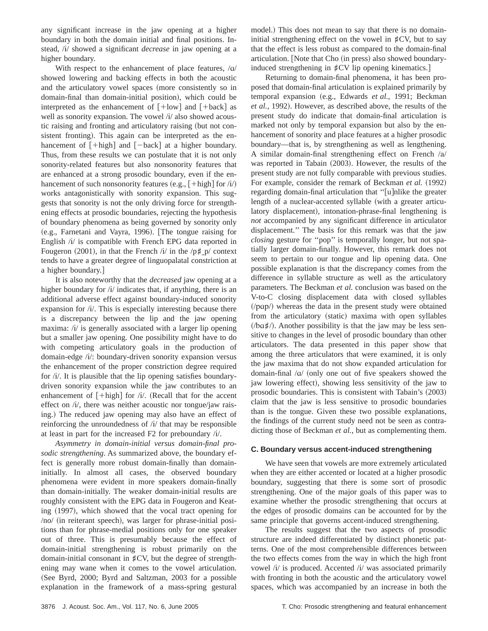any significant increase in the jaw opening at a higher boundary in both the domain initial and final positions. Instead, /i/ showed a significant *decrease* in jaw opening at a higher boundary.

With respect to the enhancement of place features,  $\alpha$ showed lowering and backing effects in both the acoustic and the articulatory vowel spaces (more consistently so in domain-final than domain-initial position), which could be interpreted as the enhancement of  $[+low]$  and  $[+back]$  as well as sonority expansion. The vowel /i/ also showed acoustic raising and fronting and articulatory raising (but not consistent fronting). This again can be interpreted as the enhancement of  $[\text{+high}]$  and  $[\text{--back}]$  at a higher boundary. Thus, from these results we can postulate that it is not only sonority-related features but also nonsonority features that are enhanced at a strong prosodic boundary, even if the enhancement of such nonsonority features (e.g.,  $[+high]$  for /i/) works antagonistically with sonority expansion. This suggests that sonority is not the only driving force for strengthening effects at prosodic boundaries, rejecting the hypothesis of boundary phenomena as being governed by sonority only (e.g., Farnetani and Vayra, 1996). [The tongue raising for English /i/ is compatible with French EPG data reported in Fougeron  $(2001)$ , in that the French /i/ in the /p<sup> $\sharp$ </sup> p/ context tends to have a greater degree of linguopalatal constriction at a higher boundary.

It is also noteworthy that the *decreased* jaw opening at a higher boundary for /i/ indicates that, if anything, there is an additional adverse effect against boundary-induced sonority expansion for /i/. This is especially interesting because there is a discrepancy between the lip and the jaw opening maxima: /i/ is generally associated with a larger lip opening but a smaller jaw opening. One possibility might have to do with competing articulatory goals in the production of domain-edge /i/: boundary-driven sonority expansion versus the enhancement of the proper constriction degree required for /i/. It is plausible that the lip opening satisfies boundarydriven sonority expansion while the jaw contributes to an enhancement of  $\lceil + \text{high} \rceil$  for /i/. (Recall that for the accent effect on  $\pi/$ , there was neither acoustic nor tongue/jaw raising.) The reduced jaw opening may also have an effect of reinforcing the unroundedness of  $\lambda i$  that may be responsible at least in part for the increased F2 for preboundary  $/i$ .

*Asymmetry in domain-initial versus domain-final prosodic strengthening*. As summarized above, the boundary effect is generally more robust domain-finally than domaininitially. In almost all cases, the observed boundary phenomena were evident in more speakers domain-finally than domain-initially. The weaker domain-initial results are roughly consistent with the EPG data in Fougeron and Keating  $(1997)$ , which showed that the vocal tract opening for  $/no/$  (in reiterant speech), was larger for phrase-initial positions than for phrase-medial positions only for one speaker out of three. This is presumably because the effect of domain-initial strengthening is robust primarily on the domain-initial consonant in  $\sharp$ CV, but the degree of strengthening may wane when it comes to the vowel articulation. (See Byrd, 2000; Byrd and Saltzman, 2003 for a possible explanation in the framework of a mass-spring gestural model.) This does not mean to say that there is no domaininitial strengthening effect on the vowel in  $\sharp$ CV, but to say that the effect is less robust as compared to the domain-final articulation. [Note that Cho (in press) also showed boundaryinduced strengthening in  $\sharp$ CV lip opening kinematics.]

Returning to domain-final phenomena, it has been proposed that domain-final articulation is explained primarily by temporal expansion (e.g., Edwards *et al.*, 1991; Beckman *et al.*, 1992). However, as described above, the results of the present study do indicate that domain-final articulation is marked not only by temporal expansion but also by the enhancement of sonority and place features at a higher prosodic boundary—that is, by strengthening as well as lengthening. A similar domain-final strengthening effect on French  $/a/$ was reported in Tabain  $(2003)$ . However, the results of the present study are not fully comparable with previous studies. For example, consider the remark of Beckman *et al.* (1992) regarding domain-final articulation that "[u]nlike the greater length of a nuclear-accented syllable (with a greater articulatory displacement), intonation-phrase-final lengthening is *not* accompanied by any significant difference in articulator displacement.'' The basis for this remark was that the jaw *closing* gesture for ''pop'' is temporally longer, but not spatially larger domain-finally. However, this remark does not seem to pertain to our tongue and lip opening data. One possible explanation is that the discrepancy comes from the difference in syllable structure as well as the articulatory parameters. The Beckman *et al.* conclusion was based on the V-to-C closing displacement data with closed syllables  $\langle \rangle$  /pap $\rangle$ ) whereas the data in the present study were obtained from the articulatory (static) maxima with open syllables  $/$  $(\alpha \sharp)$ . Another possibility is that the jaw may be less sensitive to changes in the level of prosodic boundary than other articulators. The data presented in this paper show that among the three articulators that were examined, it is only the jaw maxima that do not show expanded articulation for domain-final  $\alpha$  (only one out of five speakers showed the jaw lowering effect), showing less sensitivity of the jaw to prosodic boundaries. This is consistent with Tabain's  $(2003)$ claim that the jaw is less sensitive to prosodic boundaries than is the tongue. Given these two possible explanations, the findings of the current study need not be seen as contradicting those of Beckman *et al.*, but as complementing them.

## **C. Boundary versus accent-induced strengthening**

We have seen that vowels are more extremely articulated when they are either accented or located at a higher prosodic boundary, suggesting that there is some sort of prosodic strengthening. One of the major goals of this paper was to examine whether the prosodic strengthening that occurs at the edges of prosodic domains can be accounted for by the same principle that governs accent-induced strengthening.

The results suggest that the two aspects of prosodic structure are indeed differentiated by distinct phonetic patterns. One of the most comprehensible differences between the two effects comes from the way in which the high front vowel /i/ is produced. Accented /i/ was associated primarily with fronting in both the acoustic and the articulatory vowel spaces, which was accompanied by an increase in both the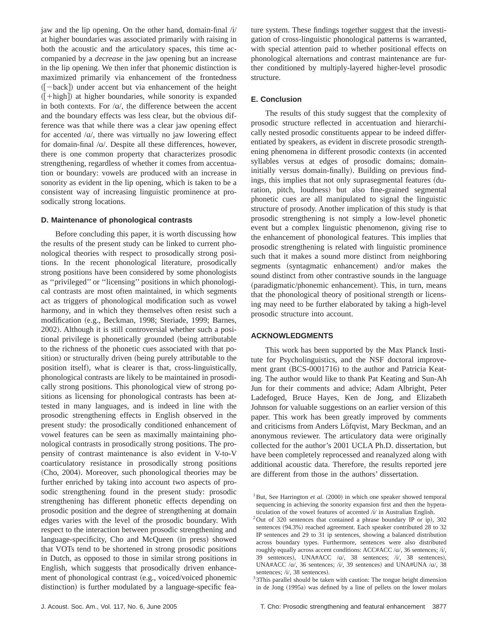jaw and the lip opening. On the other hand, domain-final  $\hat{U}$ at higher boundaries was associated primarily with raising in both the acoustic and the articulatory spaces, this time accompanied by a *decrease* in the jaw opening but an increase in the lip opening. We then infer that phonemic distinction is maximized primarily via enhancement of the frontedness  $([-back])$  under accent but via enhancement of the height  $([-high])$  at higher boundaries, while sonority is expanded in both contexts. For  $\alpha/$ , the difference between the accent and the boundary effects was less clear, but the obvious difference was that while there was a clear jaw opening effect for accented  $/\alpha$ , there was virtually no jaw lowering effect for domain-final  $/\alpha$ . Despite all these differences, however, there is one common property that characterizes prosodic strengthening, regardless of whether it comes from accentuation or boundary: vowels are produced with an increase in sonority as evident in the lip opening, which is taken to be a consistent way of increasing linguistic prominence at prosodically strong locations.

### **D. Maintenance of phonological contrasts**

Before concluding this paper, it is worth discussing how the results of the present study can be linked to current phonological theories with respect to prosodically strong positions. In the recent phonological literature, prosodically strong positions have been considered by some phonologists as ''privileged'' or ''licensing'' positions in which phonological contrasts are most often maintained, in which segments act as triggers of phonological modification such as vowel harmony, and in which they themselves often resist such a modification (e.g., Beckman, 1998; Steriade, 1999; Barnes, 2002). Although it is still controversial whether such a positional privilege is phonetically grounded (being attributable to the richness of the phonetic cues associated with that position) or structurally driven (being purely attributable to the position itself), what is clearer is that, cross-linguistically, phonological contrasts are likely to be maintained in prosodically strong positions. This phonological view of strong positions as licensing for phonological contrasts has been attested in many languages, and is indeed in line with the prosodic strengthening effects in English observed in the present study: the prosodically conditioned enhancement of vowel features can be seen as maximally maintaining phonological contrasts in prosodically strong positions. The propensity of contrast maintenance is also evident in V-to-V coarticulatory resistance in prosodically strong positions (Cho, 2004). Moreover, such phonological theories may be further enriched by taking into account two aspects of prosodic strengthening found in the present study: prosodic strengthening has different phonetic effects depending on prosodic position and the degree of strengthening at domain edges varies with the level of the prosodic boundary. With respect to the interaction between prosodic strengthening and language-specificity, Cho and McQueen (in press) showed that VOTs tend to be shortened in strong prosodic positions in Dutch, as opposed to those in similar strong positions in English, which suggests that prosodically driven enhancement of phonological contrast (e.g., voiced/voiced phonemic distinction) is further modulated by a language-specific feature system. These findings together suggest that the investigation of cross-linguistic phonological patterns is warranted, with special attention paid to whether positional effects on phonological alternations and contrast maintenance are further conditioned by multiply-layered higher-level prosodic structure.

## **E. Conclusion**

The results of this study suggest that the complexity of prosodic structure reflected in accentuation and hierarchically nested prosodic constituents appear to be indeed differentiated by speakers, as evident in discrete prosodic strengthening phenomena in different prosodic contexts (in accented syllables versus at edges of prosodic domains; domaininitially versus domain-finally). Building on previous findings, this implies that not only suprasegmental features (duration, pitch, loudness) but also fine-grained segmental phonetic cues are all manipulated to signal the linguistic structure of prosody. Another implication of this study is that prosodic strengthening is not simply a low-level phonetic event but a complex linguistic phenomenon, giving rise to the enhancement of phonological features. This implies that prosodic strengthening is related with linguistic prominence such that it makes a sound more distinct from neighboring segments (syntagmatic enhancement) and/or makes the sound distinct from other contrastive sounds in the language (paradigmatic/phonemic enhancement). This, in turn, means that the phonological theory of positional strength or licensing may need to be further elaborated by taking a high-level prosodic structure into account.

## **ACKNOWLEDGMENTS**

This work has been supported by the Max Planck Institute for Psycholinguistics, and the NSF doctoral improvement grant  $(BCS-0001716)$  to the author and Patricia Keating. The author would like to thank Pat Keating and Sun-Ah Jun for their comments and advice; Adam Albright, Peter Ladefoged, Bruce Hayes, Ken de Jong, and Elizabeth Johnson for valuable suggestions on an earlier version of this paper. This work has been greatly improved by comments and criticisms from Anders Löfqvist, Mary Beckman, and an anonymous reviewer. The articulatory data were originally collected for the author's 2001 UCLA Ph.D. dissertation, but have been completely reprocessed and reanalyzed along with additional acoustic data. Therefore, the results reported jere are different from those in the authors' dissertation.

<sup>1</sup>But, See Harrington *et al.*  $(2000)$  in which one speaker showed temporal sequencing in achieving the sonority expansion first and then the hyperaticulation of the vowel features of accented  $\frac{i}{i}$  in Australian English. <sup>2</sup>Out of 320 sentences that contained a phrase boundary IP or ip), 302

sentences (94.3%) reached agreement. Each speaker contributed 28 to 32 IP sentences and 29 to 31 ip sentences, showing a balanced distribution across boundary types. Furthermore, sentences were also distributed roughly equally across accent conditions: ACC#ACC /a/, 36 sentences; /i/, 39 sentences), UNA#ACC /a/, 38 sentences; /i/, 38 sentences), UNA#ACC / $\alpha$ /, 36 sentences; / $i$ /, 39 sentences) and UNA#UNA / $\alpha$ /, 38 sentences; / $i$ /, 38 sentences).

 $33$  3This parallel should be taken with caution: The tongue height dimension in de Jong (1995a) was defined by a line of pellets on the lower molars